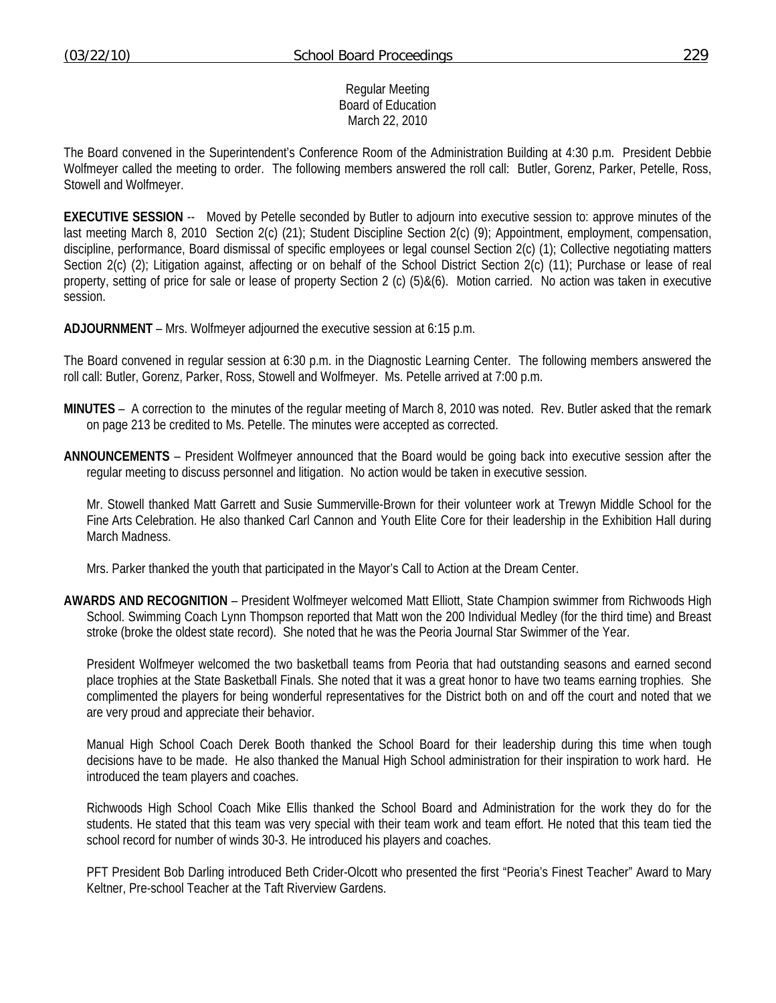## Regular Meeting Board of Education March 22, 2010

The Board convened in the Superintendent's Conference Room of the Administration Building at 4:30 p.m. President Debbie Wolfmeyer called the meeting to order. The following members answered the roll call: Butler, Gorenz, Parker, Petelle, Ross, Stowell and Wolfmeyer.

**EXECUTIVE SESSION** -- Moved by Petelle seconded by Butler to adjourn into executive session to: approve minutes of the last meeting March 8, 2010 Section 2(c) (21); Student Discipline Section 2(c) (9); Appointment, employment, compensation, discipline, performance, Board dismissal of specific employees or legal counsel Section 2(c) (1); Collective negotiating matters Section 2(c) (2); Litigation against, affecting or on behalf of the School District Section 2(c) (11); Purchase or lease of real property, setting of price for sale or lease of property Section 2 (c) (5)&(6). Motion carried. No action was taken in executive session.

**ADJOURNMENT** – Mrs. Wolfmeyer adjourned the executive session at 6:15 p.m.

The Board convened in regular session at 6:30 p.m. in the Diagnostic Learning Center. The following members answered the roll call: Butler, Gorenz, Parker, Ross, Stowell and Wolfmeyer. Ms. Petelle arrived at 7:00 p.m.

- **MINUTES** A correction to the minutes of the regular meeting of March 8, 2010 was noted. Rev. Butler asked that the remark on page 213 be credited to Ms. Petelle. The minutes were accepted as corrected.
- **ANNOUNCEMENTS** President Wolfmeyer announced that the Board would be going back into executive session after the regular meeting to discuss personnel and litigation. No action would be taken in executive session.

 Mr. Stowell thanked Matt Garrett and Susie Summerville-Brown for their volunteer work at Trewyn Middle School for the Fine Arts Celebration. He also thanked Carl Cannon and Youth Elite Core for their leadership in the Exhibition Hall during March Madness.

Mrs. Parker thanked the youth that participated in the Mayor's Call to Action at the Dream Center.

**AWARDS AND RECOGNITION** – President Wolfmeyer welcomed Matt Elliott, State Champion swimmer from Richwoods High School. Swimming Coach Lynn Thompson reported that Matt won the 200 Individual Medley (for the third time) and Breast stroke (broke the oldest state record). She noted that he was the Peoria Journal Star Swimmer of the Year.

 President Wolfmeyer welcomed the two basketball teams from Peoria that had outstanding seasons and earned second place trophies at the State Basketball Finals. She noted that it was a great honor to have two teams earning trophies. She complimented the players for being wonderful representatives for the District both on and off the court and noted that we are very proud and appreciate their behavior.

 Manual High School Coach Derek Booth thanked the School Board for their leadership during this time when tough decisions have to be made. He also thanked the Manual High School administration for their inspiration to work hard. He introduced the team players and coaches.

 Richwoods High School Coach Mike Ellis thanked the School Board and Administration for the work they do for the students. He stated that this team was very special with their team work and team effort. He noted that this team tied the school record for number of winds 30-3. He introduced his players and coaches.

 PFT President Bob Darling introduced Beth Crider-Olcott who presented the first "Peoria's Finest Teacher" Award to Mary Keltner, Pre-school Teacher at the Taft Riverview Gardens.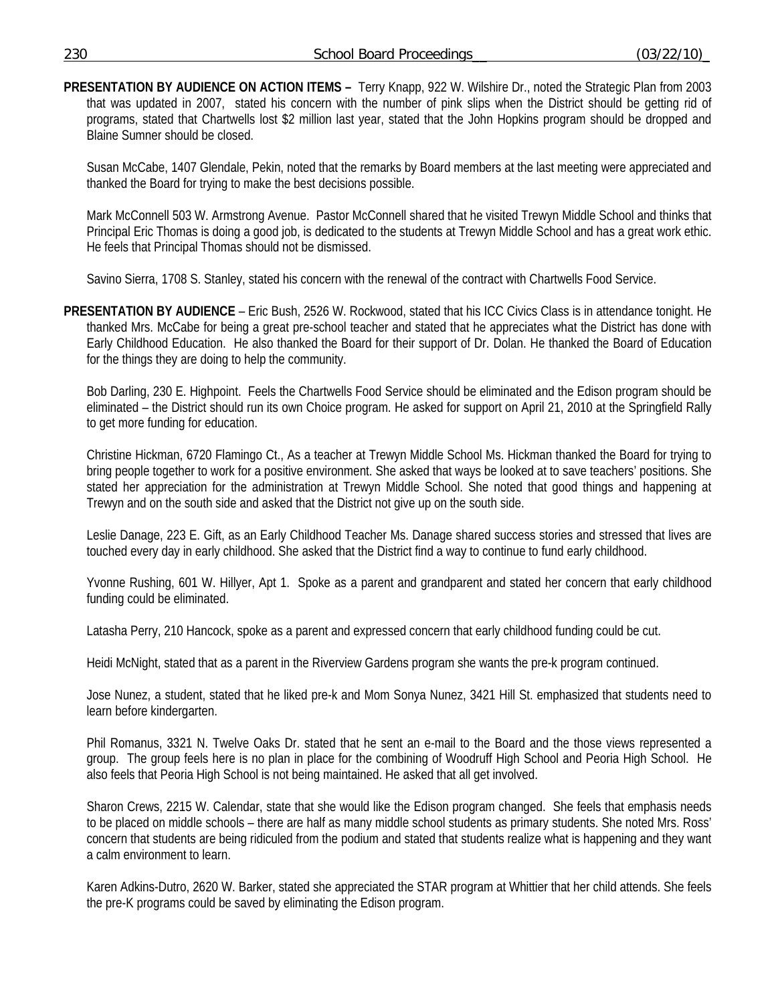**PRESENTATION BY AUDIENCE ON ACTION ITEMS –** Terry Knapp, 922 W. Wilshire Dr., noted the Strategic Plan from 2003 that was updated in 2007, stated his concern with the number of pink slips when the District should be getting rid of programs, stated that Chartwells lost \$2 million last year, stated that the John Hopkins program should be dropped and Blaine Sumner should be closed.

 Susan McCabe, 1407 Glendale, Pekin, noted that the remarks by Board members at the last meeting were appreciated and thanked the Board for trying to make the best decisions possible.

 Mark McConnell 503 W. Armstrong Avenue. Pastor McConnell shared that he visited Trewyn Middle School and thinks that Principal Eric Thomas is doing a good job, is dedicated to the students at Trewyn Middle School and has a great work ethic. He feels that Principal Thomas should not be dismissed.

Savino Sierra, 1708 S. Stanley, stated his concern with the renewal of the contract with Chartwells Food Service.

**PRESENTATION BY AUDIENCE** – Eric Bush, 2526 W. Rockwood, stated that his ICC Civics Class is in attendance tonight. He thanked Mrs. McCabe for being a great pre-school teacher and stated that he appreciates what the District has done with Early Childhood Education. He also thanked the Board for their support of Dr. Dolan. He thanked the Board of Education for the things they are doing to help the community.

 Bob Darling, 230 E. Highpoint. Feels the Chartwells Food Service should be eliminated and the Edison program should be eliminated – the District should run its own Choice program. He asked for support on April 21, 2010 at the Springfield Rally to get more funding for education.

 Christine Hickman, 6720 Flamingo Ct., As a teacher at Trewyn Middle School Ms. Hickman thanked the Board for trying to bring people together to work for a positive environment. She asked that ways be looked at to save teachers' positions. She stated her appreciation for the administration at Trewyn Middle School. She noted that good things and happening at Trewyn and on the south side and asked that the District not give up on the south side.

 Leslie Danage, 223 E. Gift, as an Early Childhood Teacher Ms. Danage shared success stories and stressed that lives are touched every day in early childhood. She asked that the District find a way to continue to fund early childhood.

 Yvonne Rushing, 601 W. Hillyer, Apt 1. Spoke as a parent and grandparent and stated her concern that early childhood funding could be eliminated.

Latasha Perry, 210 Hancock, spoke as a parent and expressed concern that early childhood funding could be cut.

Heidi McNight, stated that as a parent in the Riverview Gardens program she wants the pre-k program continued.

 Jose Nunez, a student, stated that he liked pre-k and Mom Sonya Nunez, 3421 Hill St. emphasized that students need to learn before kindergarten.

 Phil Romanus, 3321 N. Twelve Oaks Dr. stated that he sent an e-mail to the Board and the those views represented a group. The group feels here is no plan in place for the combining of Woodruff High School and Peoria High School. He also feels that Peoria High School is not being maintained. He asked that all get involved.

 Sharon Crews, 2215 W. Calendar, state that she would like the Edison program changed. She feels that emphasis needs to be placed on middle schools – there are half as many middle school students as primary students. She noted Mrs. Ross' concern that students are being ridiculed from the podium and stated that students realize what is happening and they want a calm environment to learn.

 Karen Adkins-Dutro, 2620 W. Barker, stated she appreciated the STAR program at Whittier that her child attends. She feels the pre-K programs could be saved by eliminating the Edison program.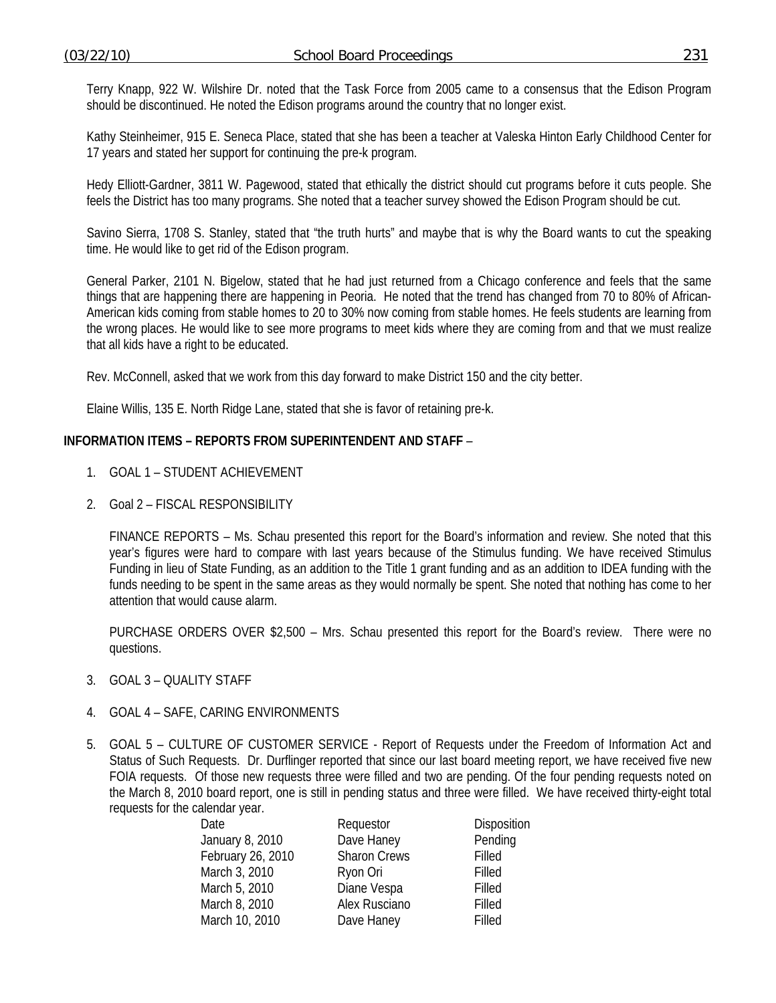Terry Knapp, 922 W. Wilshire Dr. noted that the Task Force from 2005 came to a consensus that the Edison Program should be discontinued. He noted the Edison programs around the country that no longer exist.

 Kathy Steinheimer, 915 E. Seneca Place, stated that she has been a teacher at Valeska Hinton Early Childhood Center for 17 years and stated her support for continuing the pre-k program.

 Hedy Elliott-Gardner, 3811 W. Pagewood, stated that ethically the district should cut programs before it cuts people. She feels the District has too many programs. She noted that a teacher survey showed the Edison Program should be cut.

 Savino Sierra, 1708 S. Stanley, stated that "the truth hurts" and maybe that is why the Board wants to cut the speaking time. He would like to get rid of the Edison program.

 General Parker, 2101 N. Bigelow, stated that he had just returned from a Chicago conference and feels that the same things that are happening there are happening in Peoria. He noted that the trend has changed from 70 to 80% of African-American kids coming from stable homes to 20 to 30% now coming from stable homes. He feels students are learning from the wrong places. He would like to see more programs to meet kids where they are coming from and that we must realize that all kids have a right to be educated.

Rev. McConnell, asked that we work from this day forward to make District 150 and the city better.

Elaine Willis, 135 E. North Ridge Lane, stated that she is favor of retaining pre-k.

### **INFORMATION ITEMS – REPORTS FROM SUPERINTENDENT AND STAFF** –

- 1. GOAL 1 STUDENT ACHIEVEMENT
- 2. Goal 2 FISCAL RESPONSIBILITY

 FINANCE REPORTS – Ms. Schau presented this report for the Board's information and review. She noted that this year's figures were hard to compare with last years because of the Stimulus funding. We have received Stimulus Funding in lieu of State Funding, as an addition to the Title 1 grant funding and as an addition to IDEA funding with the funds needing to be spent in the same areas as they would normally be spent. She noted that nothing has come to her attention that would cause alarm.

 PURCHASE ORDERS OVER \$2,500 – Mrs. Schau presented this report for the Board's review. There were no questions.

- 3. GOAL 3 QUALITY STAFF
- 4. GOAL 4 SAFE, CARING ENVIRONMENTS
- 5. GOAL 5 CULTURE OF CUSTOMER SERVICE Report of Requests under the Freedom of Information Act and Status of Such Requests. Dr. Durflinger reported that since our last board meeting report, we have received five new FOIA requests. Of those new requests three were filled and two are pending. Of the four pending requests noted on the March 8, 2010 board report, one is still in pending status and three were filled. We have received thirty-eight total requests for the calendar year.

| Date              | Requestor           | <b>Disposition</b> |
|-------------------|---------------------|--------------------|
| January 8, 2010   | Dave Haney          | Pending            |
| February 26, 2010 | <b>Sharon Crews</b> | Filled             |
| March 3, 2010     | Ryon Ori            | Filled             |
| March 5, 2010     | Diane Vespa         | Filled             |
| March 8, 2010     | Alex Rusciano       | Filled             |
| March 10, 2010    | Dave Haney          | Filled             |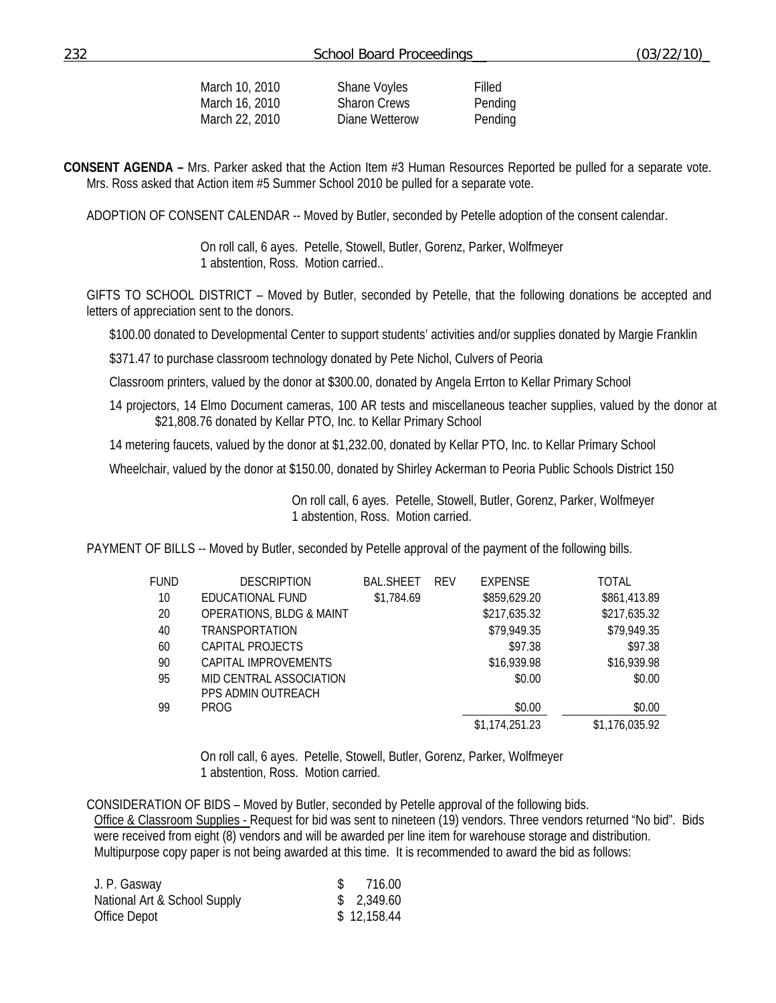| March 10, 2010 | Shane Voyles        | Filled  |
|----------------|---------------------|---------|
| March 16, 2010 | <b>Sharon Crews</b> | Pending |
| March 22, 2010 | Diane Wetterow      | Pending |

**CONSENT AGENDA –** Mrs. Parker asked that the Action Item #3 Human Resources Reported be pulled for a separate vote. Mrs. Ross asked that Action item #5 Summer School 2010 be pulled for a separate vote.

ADOPTION OF CONSENT CALENDAR -- Moved by Butler, seconded by Petelle adoption of the consent calendar.

 On roll call, 6 ayes. Petelle, Stowell, Butler, Gorenz, Parker, Wolfmeyer 1 abstention, Ross. Motion carried..

GIFTS TO SCHOOL DISTRICT – Moved by Butler, seconded by Petelle, that the following donations be accepted and letters of appreciation sent to the donors.

\$100.00 donated to Developmental Center to support students' activities and/or supplies donated by Margie Franklin

\$371.47 to purchase classroom technology donated by Pete Nichol, Culvers of Peoria

Classroom printers, valued by the donor at \$300.00, donated by Angela Errton to Kellar Primary School

14 projectors, 14 Elmo Document cameras, 100 AR tests and miscellaneous teacher supplies, valued by the donor at \$21,808.76 donated by Kellar PTO, Inc. to Kellar Primary School

14 metering faucets, valued by the donor at \$1,232.00, donated by Kellar PTO, Inc. to Kellar Primary School

Wheelchair, valued by the donor at \$150.00, donated by Shirley Ackerman to Peoria Public Schools District 150

 On roll call, 6 ayes. Petelle, Stowell, Butler, Gorenz, Parker, Wolfmeyer 1 abstention, Ross. Motion carried.

PAYMENT OF BILLS -- Moved by Butler, seconded by Petelle approval of the payment of the following bills.

| <b>FUND</b> | <b>DESCRIPTION</b>                  | <b>BAL.SHEET</b> | <b>REV</b> | <b>EXPENSE</b> | TOTAL          |
|-------------|-------------------------------------|------------------|------------|----------------|----------------|
| 10          | EDUCATIONAL FUND                    | \$1,784.69       |            | \$859,629.20   | \$861,413.89   |
| 20          | <b>OPERATIONS, BLDG &amp; MAINT</b> |                  |            | \$217,635.32   | \$217,635.32   |
| 40          | TRANSPORTATION                      |                  |            | \$79,949.35    | \$79,949.35    |
| 60          | CAPITAL PROJECTS                    |                  |            | \$97.38        | \$97.38        |
| 90          | CAPITAL IMPROVEMENTS                |                  |            | \$16,939.98    | \$16,939.98    |
| 95          | MID CENTRAL ASSOCIATION             |                  |            | \$0.00         | \$0.00         |
|             | PPS ADMIN OUTREACH                  |                  |            |                |                |
| 99          | <b>PROG</b>                         |                  |            | \$0.00         | \$0.00         |
|             |                                     |                  |            | \$1,174,251.23 | \$1,176,035.92 |

On roll call, 6 ayes. Petelle, Stowell, Butler, Gorenz, Parker, Wolfmeyer 1 abstention, Ross. Motion carried.

CONSIDERATION OF BIDS – Moved by Butler, seconded by Petelle approval of the following bids.

Office & Classroom Supplies - Request for bid was sent to nineteen (19) vendors. Three vendors returned "No bid". Bids were received from eight (8) vendors and will be awarded per line item for warehouse storage and distribution. Multipurpose copy paper is not being awarded at this time. It is recommended to award the bid as follows:

| J. P. Gasway                 | \$ 716.00   |
|------------------------------|-------------|
| National Art & School Supply | \$2,349.60  |
| Office Depot                 | \$12,158.44 |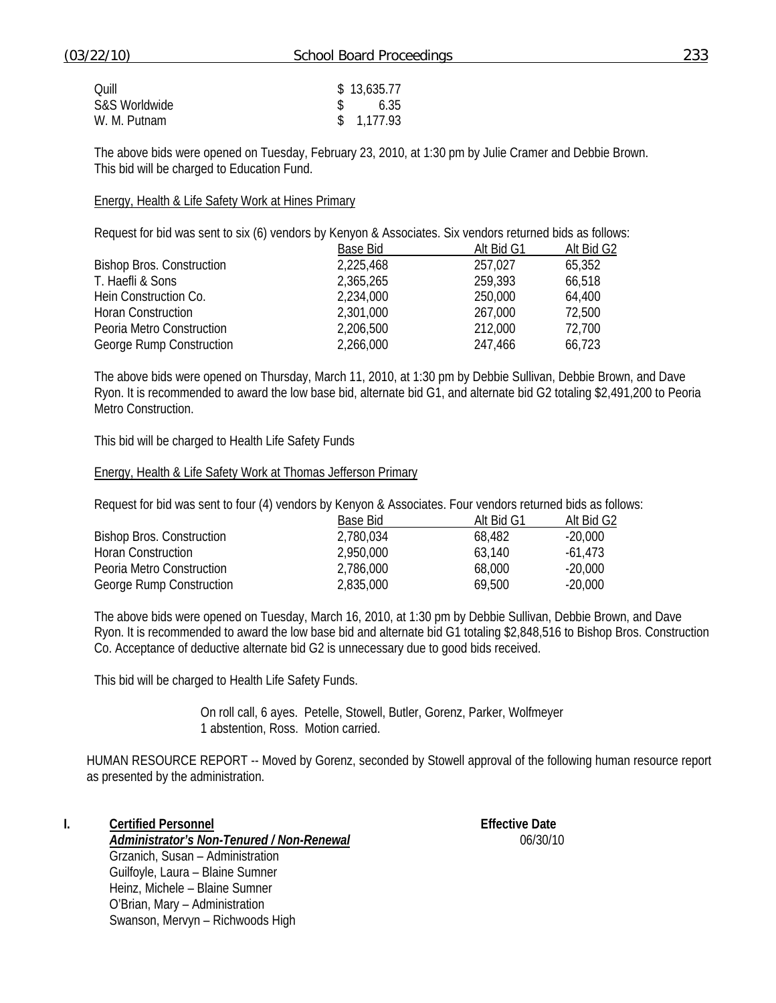| Ouill         | \$13,635.77        |
|---------------|--------------------|
| S&S Worldwide | $\frac{1}{2}$ 6.35 |
| W. M. Putnam  | \$1,177.93         |

The above bids were opened on Tuesday, February 23, 2010, at 1:30 pm by Julie Cramer and Debbie Brown. This bid will be charged to Education Fund.

#### Energy, Health & Life Safety Work at Hines Primary

Request for bid was sent to six (6) vendors by Kenyon & Associates. Six vendors returned bids as follows:

|                                  | Base Bid  | Alt Bid G1 | Alt Bid G2 |
|----------------------------------|-----------|------------|------------|
| <b>Bishop Bros. Construction</b> | 2,225,468 | 257,027    | 65,352     |
| T. Haefli & Sons                 | 2,365,265 | 259.393    | 66,518     |
| Hein Construction Co.            | 2,234,000 | 250,000    | 64,400     |
| <b>Horan Construction</b>        | 2,301,000 | 267,000    | 72,500     |
| Peoria Metro Construction        | 2,206,500 | 212,000    | 72,700     |
| George Rump Construction         | 2,266,000 | 247.466    | 66,723     |

The above bids were opened on Thursday, March 11, 2010, at 1:30 pm by Debbie Sullivan, Debbie Brown, and Dave Ryon. It is recommended to award the low base bid, alternate bid G1, and alternate bid G2 totaling \$2,491,200 to Peoria Metro Construction.

This bid will be charged to Health Life Safety Funds

#### Energy, Health & Life Safety Work at Thomas Jefferson Primary

Request for bid was sent to four (4) vendors by Kenyon & Associates. Four vendors returned bids as follows:

|                                  | Base Bid  | Alt Bid G1 | Alt Bid G <sub>2</sub> |
|----------------------------------|-----------|------------|------------------------|
| <b>Bishop Bros. Construction</b> | 2,780,034 | 68.482     | $-20.000$              |
| Horan Construction               | 2,950,000 | 63.140     | $-61.473$              |
| Peoria Metro Construction        | 2,786,000 | 68.000     | -20.000                |
| George Rump Construction         | 2,835,000 | 69,500     | $-20.000$              |

The above bids were opened on Tuesday, March 16, 2010, at 1:30 pm by Debbie Sullivan, Debbie Brown, and Dave Ryon. It is recommended to award the low base bid and alternate bid G1 totaling \$2,848,516 to Bishop Bros. Construction Co. Acceptance of deductive alternate bid G2 is unnecessary due to good bids received.

This bid will be charged to Health Life Safety Funds.

On roll call, 6 ayes. Petelle, Stowell, Butler, Gorenz, Parker, Wolfmeyer 1 abstention, Ross. Motion carried.

HUMAN RESOURCE REPORT -- Moved by Gorenz, seconded by Stowell approval of the following human resource report as presented by the administration.

**I.** Certified Personnel **Effective Date** 

*Administrator's Non-Tenured / Non-Renewal* 06/30/10

Grzanich, Susan – Administration Guilfoyle, Laura – Blaine Sumner Heinz, Michele – Blaine Sumner O'Brian, Mary – Administration Swanson, Mervyn – Richwoods High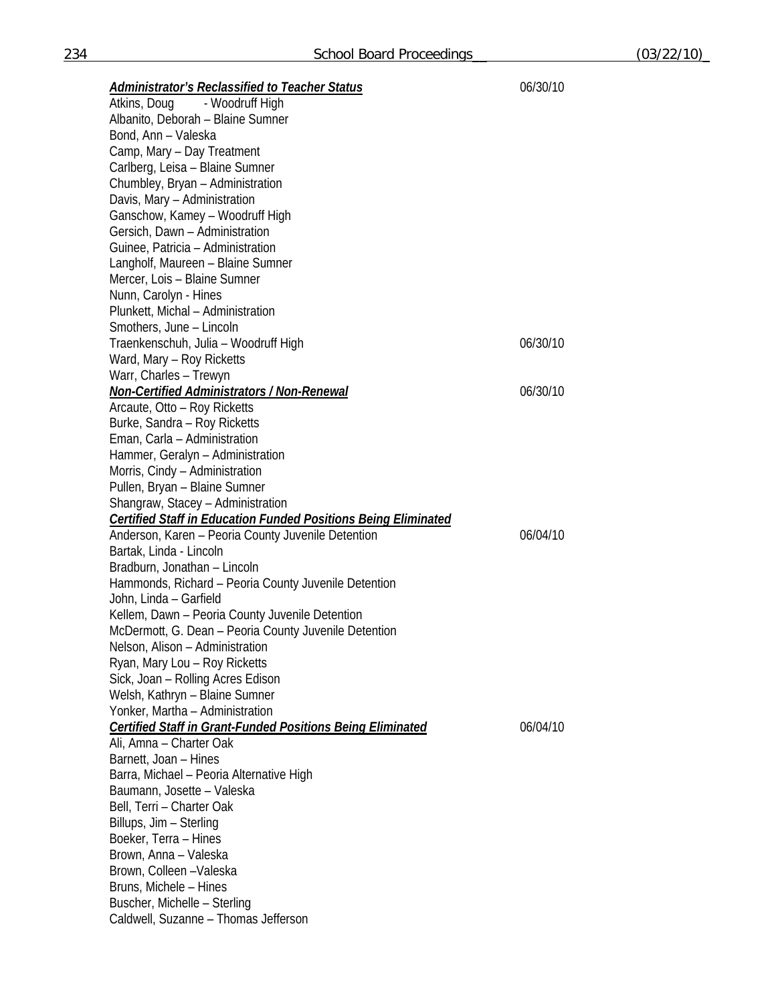*Administrator's Reclassified to Teacher Status* 06/30/10 Atkins, Doug - Woodruff High Albanito, Deborah – Blaine Sumner Bond, Ann – Valeska Camp, Mary – Day Treatment Carlberg, Leisa – Blaine Sumner Chumbley, Bryan – Administration Davis, Mary – Administration Ganschow, Kamey – Woodruff High Gersich, Dawn – Administration Guinee, Patricia – Administration Langholf, Maureen – Blaine Sumner Mercer, Lois – Blaine Sumner Nunn, Carolyn - Hines Plunkett, Michal – Administration Smothers, June – Lincoln Traenkenschuh, Julia – Woodruff High 06/30/10 Ward, Mary – Roy Ricketts Warr, Charles – Trewyn *Non-Certified Administrators / Non-Renewal* 06/30/10 Arcaute, Otto – Roy Ricketts Burke, Sandra – Roy Ricketts Eman, Carla – Administration Hammer, Geralyn – Administration Morris, Cindy – Administration Pullen, Bryan – Blaine Sumner Shangraw, Stacey – Administration *Certified Staff in Education Funded Positions Being Eliminated*  Anderson, Karen – Peoria County Juvenile Detention and and the control of 06/04/10 Bartak, Linda - Lincoln Bradburn, Jonathan – Lincoln Hammonds, Richard – Peoria County Juvenile Detention John, Linda – Garfield Kellem, Dawn – Peoria County Juvenile Detention McDermott, G. Dean – Peoria County Juvenile Detention Nelson, Alison – Administration Ryan, Mary Lou – Roy Ricketts Sick, Joan – Rolling Acres Edison Welsh, Kathryn – Blaine Sumner Yonker, Martha – Administration *Certified Staff in Grant-Funded Positions Being Eliminated* 06/04/10 Ali, Amna – Charter Oak Barnett, Joan – Hines Barra, Michael – Peoria Alternative High Baumann, Josette – Valeska Bell, Terri – Charter Oak Billups, Jim – Sterling Boeker, Terra – Hines Brown, Anna – Valeska Brown, Colleen –Valeska Bruns, Michele – Hines Buscher, Michelle – Sterling Caldwell, Suzanne – Thomas Jefferson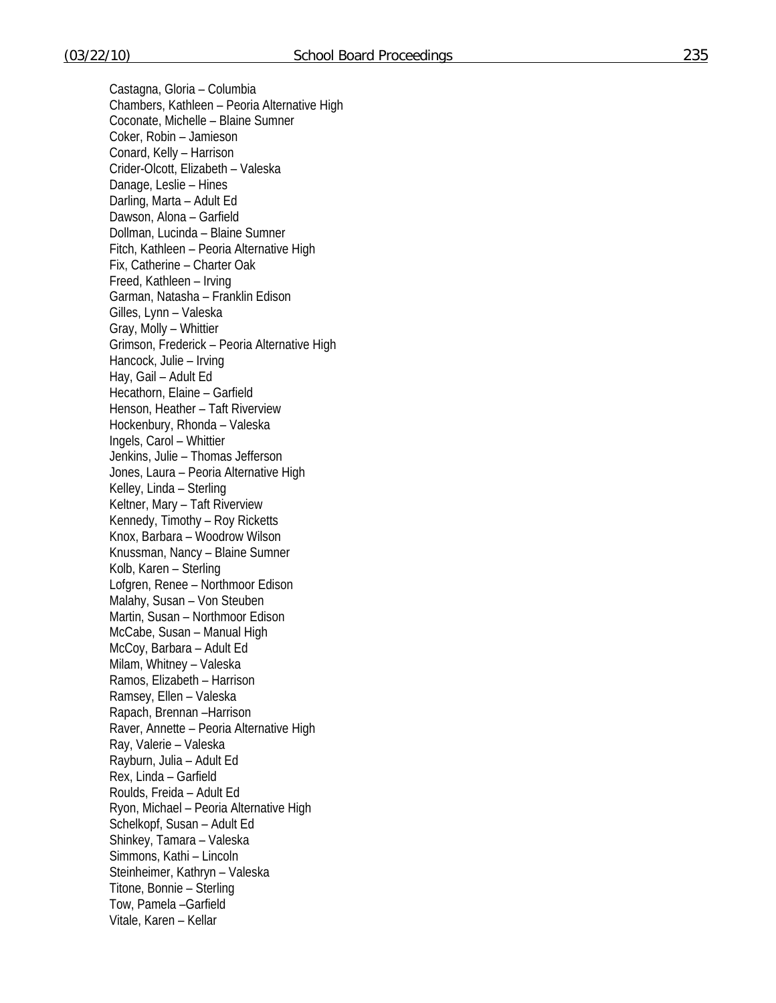Castagna, Gloria – Columbia Chambers, Kathleen – Peoria Alternative High Coconate, Michelle – Blaine Sumner Coker, Robin – Jamieson Conard, Kelly – Harrison Crider-Olcott, Elizabeth – Valeska Danage, Leslie – Hines Darling, Marta – Adult Ed Dawson, Alona – Garfield Dollman, Lucinda – Blaine Sumner Fitch, Kathleen – Peoria Alternative High Fix, Catherine – Charter Oak Freed, Kathleen – Irving Garman, Natasha – Franklin Edison Gilles, Lynn – Valeska Gray, Molly – Whittier Grimson, Frederick – Peoria Alternative High Hancock, Julie – Irving Hay, Gail – Adult Ed Hecathorn, Elaine – Garfield Henson, Heather – Taft Riverview Hockenbury, Rhonda – Valeska Ingels, Carol – Whittier Jenkins, Julie – Thomas Jefferson Jones, Laura – Peoria Alternative High Kelley, Linda – Sterling Keltner, Mary – Taft Riverview Kennedy, Timothy – Roy Ricketts Knox, Barbara – Woodrow Wilson Knussman, Nancy – Blaine Sumner Kolb, Karen – Sterling Lofgren, Renee – Northmoor Edison Malahy, Susan – Von Steuben Martin, Susan – Northmoor Edison McCabe, Susan – Manual High McCoy, Barbara – Adult Ed Milam, Whitney – Valeska Ramos, Elizabeth – Harrison Ramsey, Ellen – Valeska Rapach, Brennan –Harrison Raver, Annette – Peoria Alternative High Ray, Valerie – Valeska Rayburn, Julia – Adult Ed Rex, Linda – Garfield Roulds, Freida – Adult Ed Ryon, Michael – Peoria Alternative High Schelkopf, Susan – Adult Ed Shinkey, Tamara – Valeska Simmons, Kathi – Lincoln Steinheimer, Kathryn – Valeska Titone, Bonnie – Sterling Tow, Pamela –Garfield Vitale, Karen – Kellar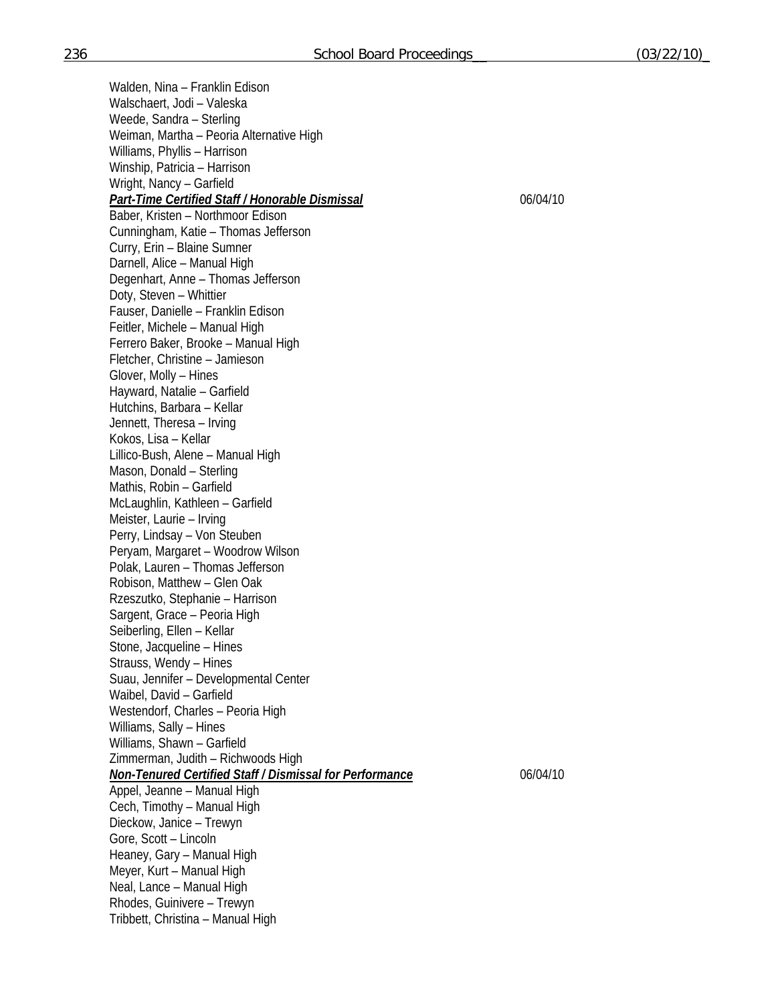Walden, Nina – Franklin Edison Walschaert, Jodi – Valeska Weede, Sandra – Sterling Weiman, Martha – Peoria Alternative High Williams, Phyllis – Harrison Winship, Patricia – Harrison Wright, Nancy – Garfield *Part-Time Certified Staff / Honorable Dismissal* 06/04/10 Baber, Kristen – Northmoor Edison Cunningham, Katie – Thomas Jefferson Curry, Erin – Blaine Sumner Darnell, Alice – Manual High Degenhart, Anne – Thomas Jefferson Doty, Steven – Whittier Fauser, Danielle – Franklin Edison Feitler, Michele – Manual High Ferrero Baker, Brooke – Manual High Fletcher, Christine – Jamieson Glover, Molly – Hines Hayward, Natalie – Garfield Hutchins, Barbara – Kellar Jennett, Theresa – Irving Kokos, Lisa – Kellar Lillico-Bush, Alene – Manual High Mason, Donald – Sterling Mathis, Robin – Garfield McLaughlin, Kathleen – Garfield Meister, Laurie – Irving Perry, Lindsay – Von Steuben Peryam, Margaret – Woodrow Wilson Polak, Lauren – Thomas Jefferson Robison, Matthew – Glen Oak Rzeszutko, Stephanie – Harrison Sargent, Grace – Peoria High Seiberling, Ellen – Kellar Stone, Jacqueline – Hines Strauss, Wendy – Hines Suau, Jennifer – Developmental Center Waibel, David – Garfield Westendorf, Charles – Peoria High Williams, Sally – Hines Williams, Shawn – Garfield Zimmerman, Judith – Richwoods High *Non-Tenured Certified Staff / Dismissal for Performance* 06/04/10 Appel, Jeanne – Manual High Cech, Timothy – Manual High Dieckow, Janice – Trewyn Gore, Scott – Lincoln Heaney, Gary – Manual High Meyer, Kurt – Manual High Neal, Lance – Manual High

Rhodes, Guinivere – Trewyn

Tribbett, Christina – Manual High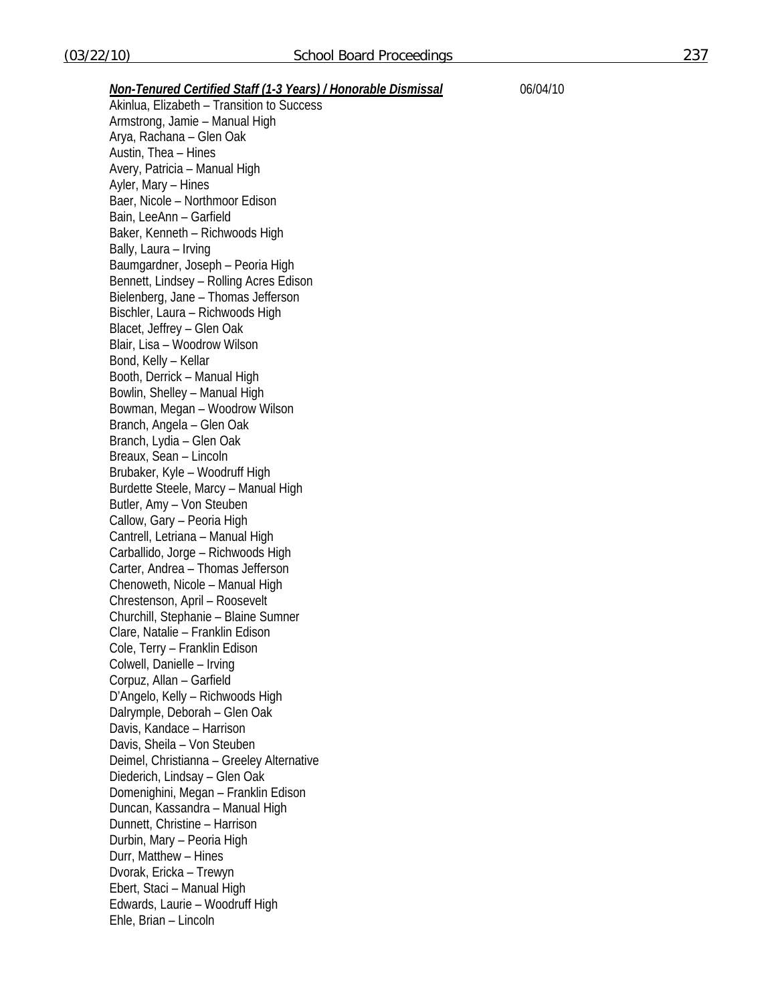*Non-Tenured Certified Staff (1-3 Years) / Honorable Dismissal* 06/04/10

Akinlua, Elizabeth – Transition to Success Armstrong, Jamie – Manual High Arya, Rachana – Glen Oak Austin, Thea – Hines Avery, Patricia – Manual High Ayler, Mary – Hines Baer, Nicole – Northmoor Edison Bain, LeeAnn – Garfield Baker, Kenneth – Richwoods High Bally, Laura – Irving Baumgardner, Joseph – Peoria High Bennett, Lindsey – Rolling Acres Edison Bielenberg, Jane – Thomas Jefferson Bischler, Laura – Richwoods High Blacet, Jeffrey – Glen Oak Blair, Lisa – Woodrow Wilson Bond, Kelly – Kellar Booth, Derrick – Manual High Bowlin, Shelley – Manual High Bowman, Megan – Woodrow Wilson Branch, Angela – Glen Oak Branch, Lydia – Glen Oak Breaux, Sean – Lincoln Brubaker, Kyle – Woodruff High Burdette Steele, Marcy – Manual High Butler, Amy – Von Steuben Callow, Gary – Peoria High Cantrell, Letriana – Manual High Carballido, Jorge – Richwoods High Carter, Andrea – Thomas Jefferson Chenoweth, Nicole – Manual High Chrestenson, April – Roosevelt Churchill, Stephanie – Blaine Sumner Clare, Natalie – Franklin Edison Cole, Terry – Franklin Edison Colwell, Danielle – Irving Corpuz, Allan – Garfield D'Angelo, Kelly – Richwoods High Dalrymple, Deborah – Glen Oak Davis, Kandace – Harrison Davis, Sheila – Von Steuben Deimel, Christianna – Greeley Alternative Diederich, Lindsay – Glen Oak Domenighini, Megan – Franklin Edison Duncan, Kassandra – Manual High Dunnett, Christine – Harrison Durbin, Mary – Peoria High Durr, Matthew – Hines Dvorak, Ericka – Trewyn Ebert, Staci – Manual High Edwards, Laurie – Woodruff High Ehle, Brian – Lincoln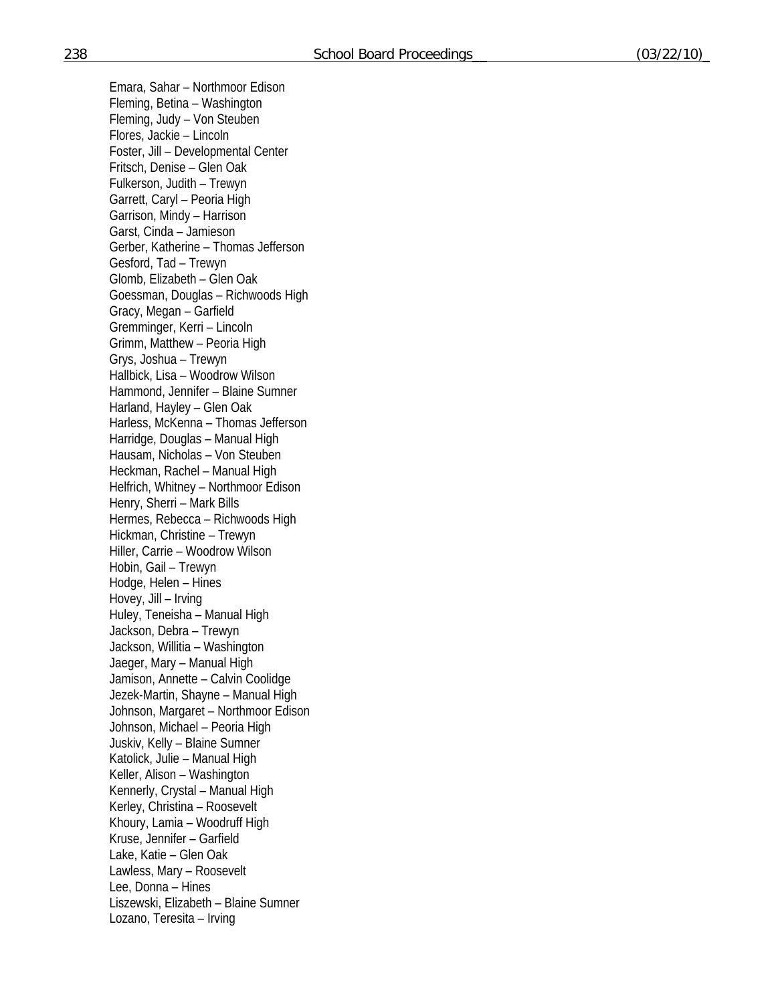Emara, Sahar – Northmoor Edison Fleming, Betina – Washington Fleming, Judy – Von Steuben Flores, Jackie – Lincoln Foster, Jill – Developmental Center Fritsch, Denise – Glen Oak Fulkerson, Judith – Trewyn Garrett, Caryl – Peoria High Garrison, Mindy – Harrison Garst, Cinda – Jamieson Gerber, Katherine – Thomas Jefferson Gesford, Tad – Trewyn Glomb, Elizabeth – Glen Oak Goessman, Douglas – Richwoods High Gracy, Megan – Garfield Gremminger, Kerri – Lincoln Grimm, Matthew – Peoria High Grys, Joshua – Trewyn Hallbick, Lisa – Woodrow Wilson Hammond, Jennifer – Blaine Sumner Harland, Hayley – Glen Oak Harless, McKenna – Thomas Jefferson Harridge, Douglas – Manual High Hausam, Nicholas – Von Steuben Heckman, Rachel – Manual High Helfrich, Whitney – Northmoor Edison Henry, Sherri – Mark Bills Hermes, Rebecca – Richwoods High Hickman, Christine – Trewyn Hiller, Carrie – Woodrow Wilson Hobin, Gail – Trewyn Hodge, Helen – Hines Hovey, Jill – Irving Huley, Teneisha – Manual High Jackson, Debra – Trewyn Jackson, Willitia – Washington Jaeger, Mary – Manual High Jamison, Annette – Calvin Coolidge Jezek-Martin, Shayne – Manual High Johnson, Margaret – Northmoor Edison Johnson, Michael – Peoria High Juskiv, Kelly – Blaine Sumner Katolick, Julie – Manual High Keller, Alison – Washington Kennerly, Crystal – Manual High Kerley, Christina – Roosevelt Khoury, Lamia – Woodruff High Kruse, Jennifer – Garfield Lake, Katie – Glen Oak Lawless, Mary – Roosevelt Lee, Donna – Hines Liszewski, Elizabeth – Blaine Sumner Lozano, Teresita – Irving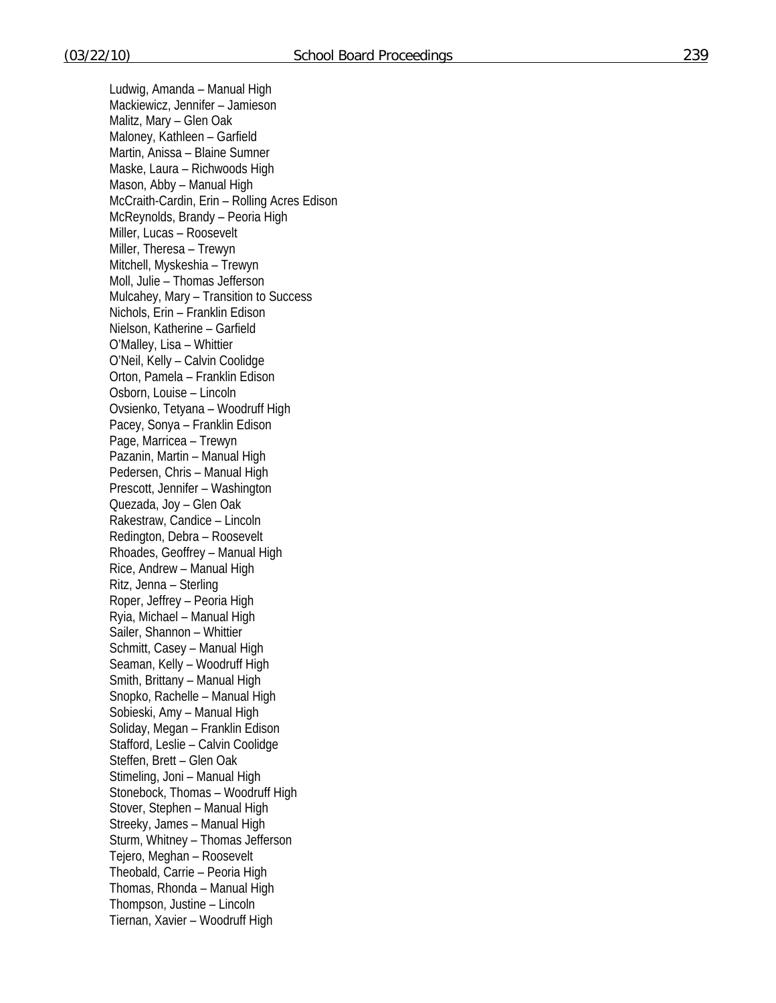Ludwig, Amanda – Manual High Mackiewicz, Jennifer – Jamieson Malitz, Mary – Glen Oak Maloney, Kathleen – Garfield Martin, Anissa – Blaine Sumner Maske, Laura – Richwoods High Mason, Abby – Manual High McCraith-Cardin, Erin – Rolling Acres Edison McReynolds, Brandy – Peoria High Miller, Lucas – Roosevelt Miller, Theresa – Trewyn Mitchell, Myskeshia – Trewyn Moll, Julie – Thomas Jefferson Mulcahey, Mary – Transition to Success Nichols, Erin – Franklin Edison Nielson, Katherine – Garfield O'Malley, Lisa – Whittier O'Neil, Kelly – Calvin Coolidge Orton, Pamela – Franklin Edison Osborn, Louise – Lincoln Ovsienko, Tetyana – Woodruff High Pacey, Sonya – Franklin Edison Page, Marricea – Trewyn Pazanin, Martin – Manual High Pedersen, Chris – Manual High Prescott, Jennifer – Washington Quezada, Joy – Glen Oak Rakestraw, Candice – Lincoln Redington, Debra – Roosevelt Rhoades, Geoffrey – Manual High Rice, Andrew – Manual High Ritz, Jenna – Sterling Roper, Jeffrey – Peoria High Ryia, Michael – Manual High Sailer, Shannon – Whittier Schmitt, Casey – Manual High Seaman, Kelly – Woodruff High Smith, Brittany – Manual High Snopko, Rachelle – Manual High Sobieski, Amy – Manual High Soliday, Megan – Franklin Edison Stafford, Leslie – Calvin Coolidge Steffen, Brett – Glen Oak Stimeling, Joni – Manual High Stonebock, Thomas – Woodruff High Stover, Stephen – Manual High Streeky, James – Manual High Sturm, Whitney – Thomas Jefferson Tejero, Meghan – Roosevelt Theobald, Carrie – Peoria High Thomas, Rhonda – Manual High Thompson, Justine – Lincoln Tiernan, Xavier – Woodruff High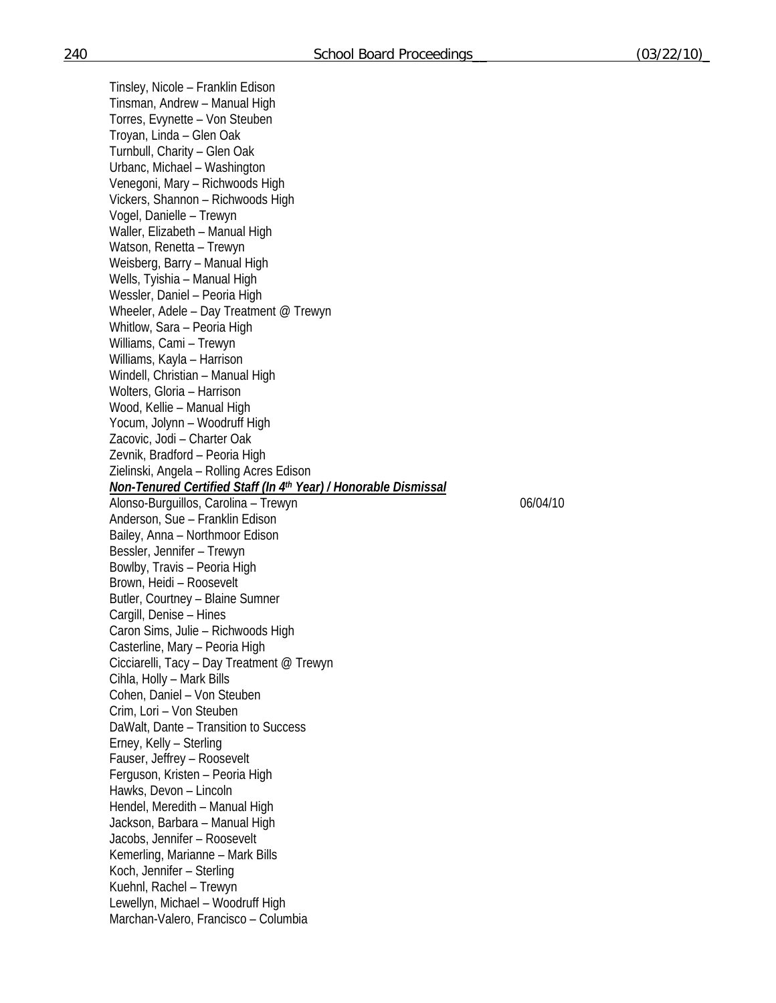Tinsley, Nicole – Franklin Edison Tinsman, Andrew – Manual High Torres, Evynette – Von Steuben Troyan, Linda – Glen Oak Turnbull, Charity – Glen Oak Urbanc, Michael – Washington Venegoni, Mary – Richwoods High Vickers, Shannon – Richwoods High Vogel, Danielle – Trewyn Waller, Elizabeth – Manual High Watson, Renetta – Trewyn Weisberg, Barry – Manual High Wells, Tyishia – Manual High Wessler, Daniel – Peoria High Wheeler, Adele – Day Treatment @ Trewyn Whitlow, Sara – Peoria High Williams, Cami – Trewyn Williams, Kayla – Harrison Windell, Christian – Manual High Wolters, Gloria – Harrison Wood, Kellie – Manual High Yocum, Jolynn – Woodruff High Zacovic, Jodi – Charter Oak Zevnik, Bradford – Peoria High Zielinski, Angela – Rolling Acres Edison *Non-Tenured Certified Staff (In 4th Year) / Honorable Dismissal*  Alonso-Burguillos, Carolina – Trewyn 06/04/10 Anderson, Sue – Franklin Edison Bailey, Anna – Northmoor Edison Bessler, Jennifer – Trewyn Bowlby, Travis – Peoria High Brown, Heidi – Roosevelt Butler, Courtney – Blaine Sumner Cargill, Denise – Hines Caron Sims, Julie – Richwoods High Casterline, Mary – Peoria High Cicciarelli, Tacy – Day Treatment @ Trewyn Cihla, Holly – Mark Bills Cohen, Daniel – Von Steuben Crim, Lori – Von Steuben DaWalt, Dante – Transition to Success Erney, Kelly – Sterling Fauser, Jeffrey – Roosevelt Ferguson, Kristen – Peoria High Hawks, Devon – Lincoln Hendel, Meredith – Manual High Jackson, Barbara – Manual High Jacobs, Jennifer – Roosevelt Kemerling, Marianne – Mark Bills Koch, Jennifer – Sterling Kuehnl, Rachel – Trewyn Lewellyn, Michael – Woodruff High Marchan-Valero, Francisco – Columbia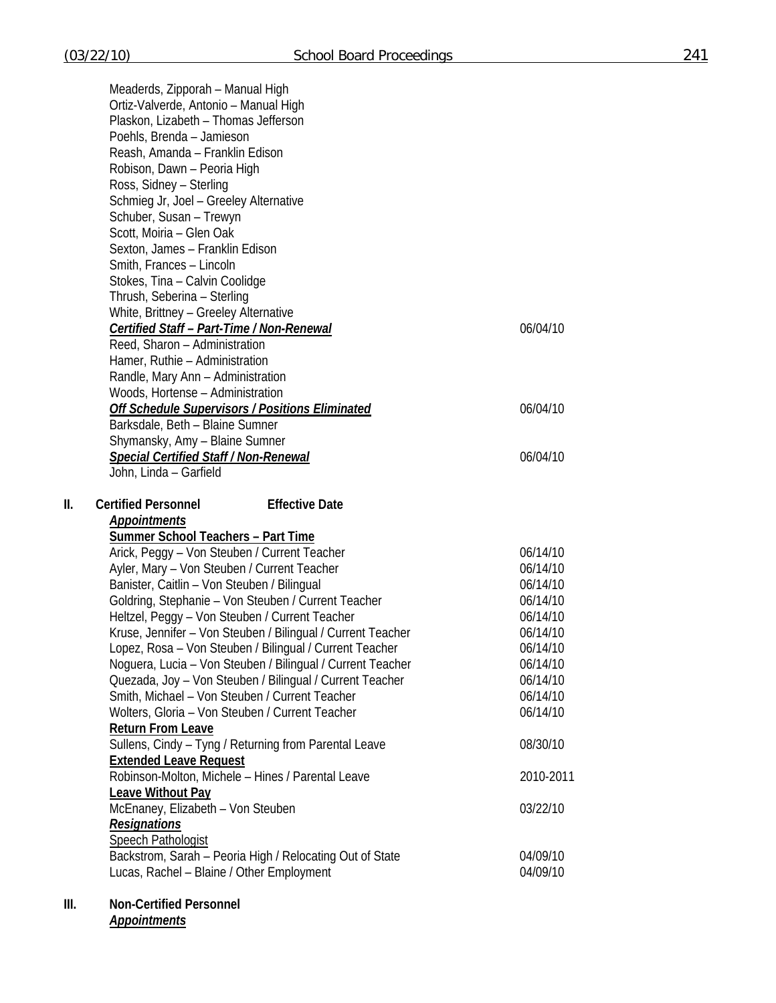|     | Meaderds, Zipporah - Manual High                                                                      |                      |
|-----|-------------------------------------------------------------------------------------------------------|----------------------|
|     | Ortiz-Valverde, Antonio - Manual High                                                                 |                      |
|     | Plaskon, Lizabeth - Thomas Jefferson                                                                  |                      |
|     | Poehls, Brenda - Jamieson                                                                             |                      |
|     | Reash, Amanda - Franklin Edison                                                                       |                      |
|     | Robison, Dawn - Peoria High                                                                           |                      |
|     | Ross, Sidney - Sterling                                                                               |                      |
|     | Schmieg Jr, Joel - Greeley Alternative                                                                |                      |
|     | Schuber, Susan - Trewyn                                                                               |                      |
|     | Scott, Moiria - Glen Oak                                                                              |                      |
|     | Sexton, James - Franklin Edison                                                                       |                      |
|     | Smith, Frances - Lincoln                                                                              |                      |
|     | Stokes, Tina - Calvin Coolidge                                                                        |                      |
|     | Thrush, Seberina - Sterling                                                                           |                      |
|     | White, Brittney - Greeley Alternative                                                                 |                      |
|     | <b>Certified Staff - Part-Time / Non-Renewal</b>                                                      | 06/04/10             |
|     | Reed, Sharon - Administration                                                                         |                      |
|     | Hamer, Ruthie - Administration                                                                        |                      |
|     | Randle, Mary Ann - Administration                                                                     |                      |
|     | Woods, Hortense - Administration                                                                      |                      |
|     | <b>Off Schedule Supervisors / Positions Eliminated</b>                                                | 06/04/10             |
|     | Barksdale, Beth - Blaine Sumner<br>Shymansky, Amy - Blaine Sumner                                     |                      |
|     |                                                                                                       | 06/04/10             |
|     | <b>Special Certified Staff / Non-Renewal</b><br>John, Linda - Garfield                                |                      |
|     |                                                                                                       |                      |
|     |                                                                                                       |                      |
| II. | <b>Certified Personnel</b><br><b>Effective Date</b>                                                   |                      |
|     | <b>Appointments</b>                                                                                   |                      |
|     | <b>Summer School Teachers - Part Time</b>                                                             |                      |
|     | Arick, Peggy - Von Steuben / Current Teacher                                                          | 06/14/10             |
|     | Ayler, Mary - Von Steuben / Current Teacher                                                           | 06/14/10             |
|     | Banister, Caitlin - Von Steuben / Bilingual                                                           | 06/14/10             |
|     | Goldring, Stephanie - Von Steuben / Current Teacher                                                   | 06/14/10             |
|     | Heltzel, Peggy - Von Steuben / Current Teacher                                                        | 06/14/10             |
|     | Kruse, Jennifer - Von Steuben / Bilingual / Current Teacher                                           | 06/14/10             |
|     | Lopez, Rosa – Von Steuben / Bilingual / Current Teacher                                               | 06/14/10             |
|     | Noguera, Lucia - Von Steuben / Bilingual / Current Teacher                                            | 06/14/10             |
|     | Quezada, Joy - Von Steuben / Bilingual / Current Teacher                                              | 06/14/10             |
|     | Smith, Michael - Von Steuben / Current Teacher                                                        | 06/14/10             |
|     | Wolters, Gloria - Von Steuben / Current Teacher                                                       | 06/14/10             |
|     | <b>Return From Leave</b>                                                                              |                      |
|     | Sullens, Cindy - Tyng / Returning from Parental Leave                                                 | 08/30/10             |
|     | <b>Extended Leave Request</b>                                                                         |                      |
|     | Robinson-Molton, Michele - Hines / Parental Leave                                                     | 2010-2011            |
|     | <b>Leave Without Pay</b>                                                                              |                      |
|     | McEnaney, Elizabeth - Von Steuben                                                                     | 03/22/10             |
|     | <b>Resignations</b>                                                                                   |                      |
|     | <b>Speech Pathologist</b>                                                                             |                      |
|     | Backstrom, Sarah - Peoria High / Relocating Out of State<br>Lucas, Rachel - Blaine / Other Employment | 04/09/10<br>04/09/10 |

# **III. Non-Certified Personnel**

*Appointments*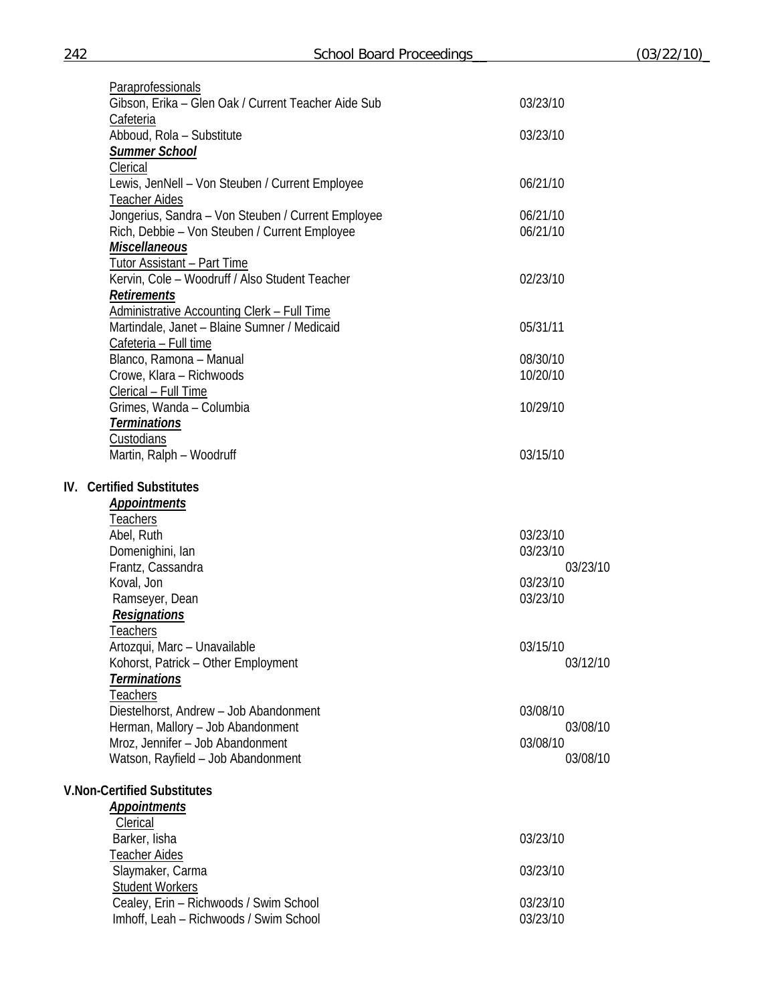| Paraprofessionals                                   |          |
|-----------------------------------------------------|----------|
| Gibson, Erika - Glen Oak / Current Teacher Aide Sub | 03/23/10 |
| Cafeteria                                           |          |
| Abboud, Rola - Substitute                           | 03/23/10 |
| <b>Summer School</b>                                |          |
| Clerical                                            |          |
| Lewis, JenNell - Von Steuben / Current Employee     | 06/21/10 |
| <b>Teacher Aides</b>                                |          |
| Jongerius, Sandra - Von Steuben / Current Employee  | 06/21/10 |
| Rich, Debbie - Von Steuben / Current Employee       | 06/21/10 |
| <b>Miscellaneous</b>                                |          |
| Tutor Assistant - Part Time                         |          |
| Kervin, Cole - Woodruff / Also Student Teacher      | 02/23/10 |
| <b>Retirements</b>                                  |          |
| Administrative Accounting Clerk - Full Time         |          |
| Martindale, Janet - Blaine Sumner / Medicaid        | 05/31/11 |
| Cafeteria - Full time                               |          |
| Blanco, Ramona - Manual                             | 08/30/10 |
| Crowe, Klara - Richwoods                            | 10/20/10 |
| Clerical - Full Time                                |          |
| Grimes, Wanda - Columbia                            | 10/29/10 |
| <b>Terminations</b>                                 |          |
| <b>Custodians</b>                                   |          |
| Martin, Ralph - Woodruff                            | 03/15/10 |
| <b>IV.</b> Certified Substitutes                    |          |
| <b>Appointments</b>                                 |          |
| Teachers                                            |          |
| Abel, Ruth                                          | 03/23/10 |
| Domenighini, lan                                    | 03/23/10 |
| Frantz, Cassandra                                   | 03/23/10 |
| Koval, Jon                                          | 03/23/10 |
| Ramseyer, Dean                                      | 03/23/10 |
| <b>Resignations</b>                                 |          |
| Teachers                                            |          |
| Artozqui, Marc - Unavailable                        | 03/15/10 |
| Kohorst, Patrick - Other Employment                 | 03/12/10 |
| <b>Terminations</b>                                 |          |
| <u>Teachers</u>                                     |          |
| Diestelhorst, Andrew - Job Abandonment              | 03/08/10 |
| Herman, Mallory - Job Abandonment                   | 03/08/10 |
| Mroz, Jennifer - Job Abandonment                    | 03/08/10 |
| Watson, Rayfield - Job Abandonment                  | 03/08/10 |
|                                                     |          |
| <b>V.Non-Certified Substitutes</b>                  |          |
| <b>Appointments</b>                                 |          |
| Clerical                                            |          |
| Barker, lisha                                       | 03/23/10 |
| Teacher Aides                                       |          |
| Slaymaker, Carma                                    | 03/23/10 |
| <b>Student Workers</b>                              |          |
| Cealey, Erin - Richwoods / Swim School              | 03/23/10 |
| Imhoff, Leah - Richwoods / Swim School              | 03/23/10 |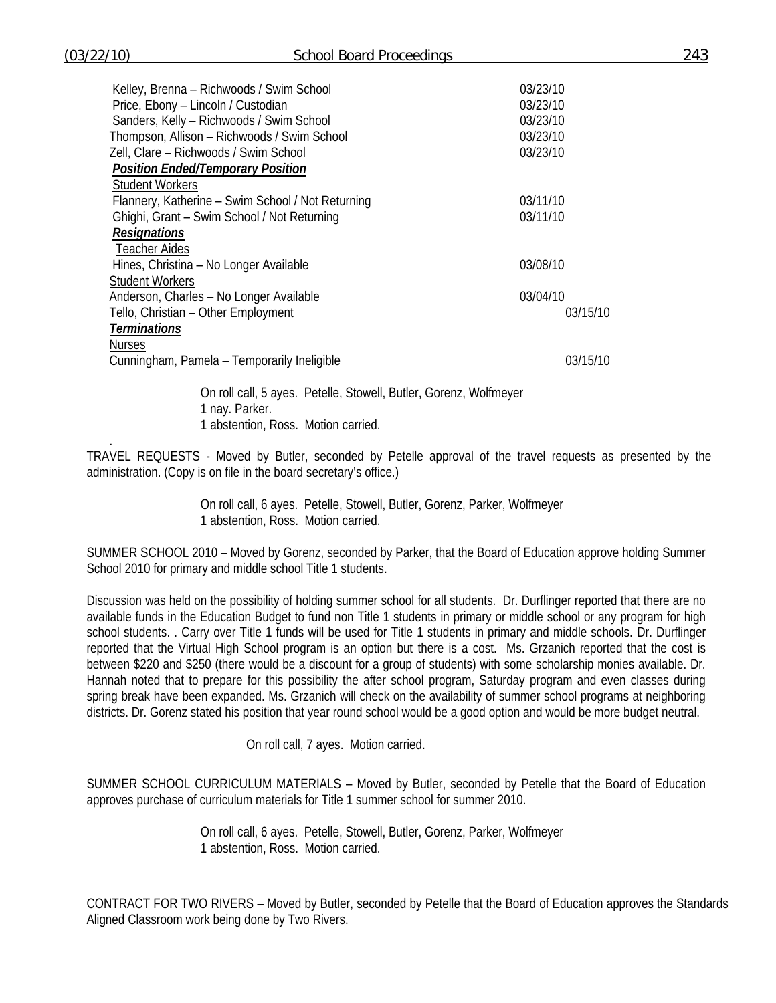.

| 03/15/10 |
|----------|
|          |
|          |
| 03/15/10 |
|          |
|          |

On roll call, 5 ayes. Petelle, Stowell, Butler, Gorenz, Wolfmeyer 1 nay. Parker. 1 abstention, Ross. Motion carried.

TRAVEL REQUESTS - Moved by Butler, seconded by Petelle approval of the travel requests as presented by the administration. (Copy is on file in the board secretary's office.)

> On roll call, 6 ayes. Petelle, Stowell, Butler, Gorenz, Parker, Wolfmeyer 1 abstention, Ross. Motion carried.

SUMMER SCHOOL 2010 – Moved by Gorenz, seconded by Parker, that the Board of Education approve holding Summer School 2010 for primary and middle school Title 1 students.

Discussion was held on the possibility of holding summer school for all students. Dr. Durflinger reported that there are no available funds in the Education Budget to fund non Title 1 students in primary or middle school or any program for high school students. . Carry over Title 1 funds will be used for Title 1 students in primary and middle schools. Dr. Durflinger reported that the Virtual High School program is an option but there is a cost. Ms. Grzanich reported that the cost is between \$220 and \$250 (there would be a discount for a group of students) with some scholarship monies available. Dr. Hannah noted that to prepare for this possibility the after school program, Saturday program and even classes during spring break have been expanded. Ms. Grzanich will check on the availability of summer school programs at neighboring districts. Dr. Gorenz stated his position that year round school would be a good option and would be more budget neutral.

On roll call, 7 ayes. Motion carried.

SUMMER SCHOOL CURRICULUM MATERIALS – Moved by Butler, seconded by Petelle that the Board of Education approves purchase of curriculum materials for Title 1 summer school for summer 2010.

> On roll call, 6 ayes. Petelle, Stowell, Butler, Gorenz, Parker, Wolfmeyer 1 abstention, Ross. Motion carried.

CONTRACT FOR TWO RIVERS – Moved by Butler, seconded by Petelle that the Board of Education approves the Standards Aligned Classroom work being done by Two Rivers.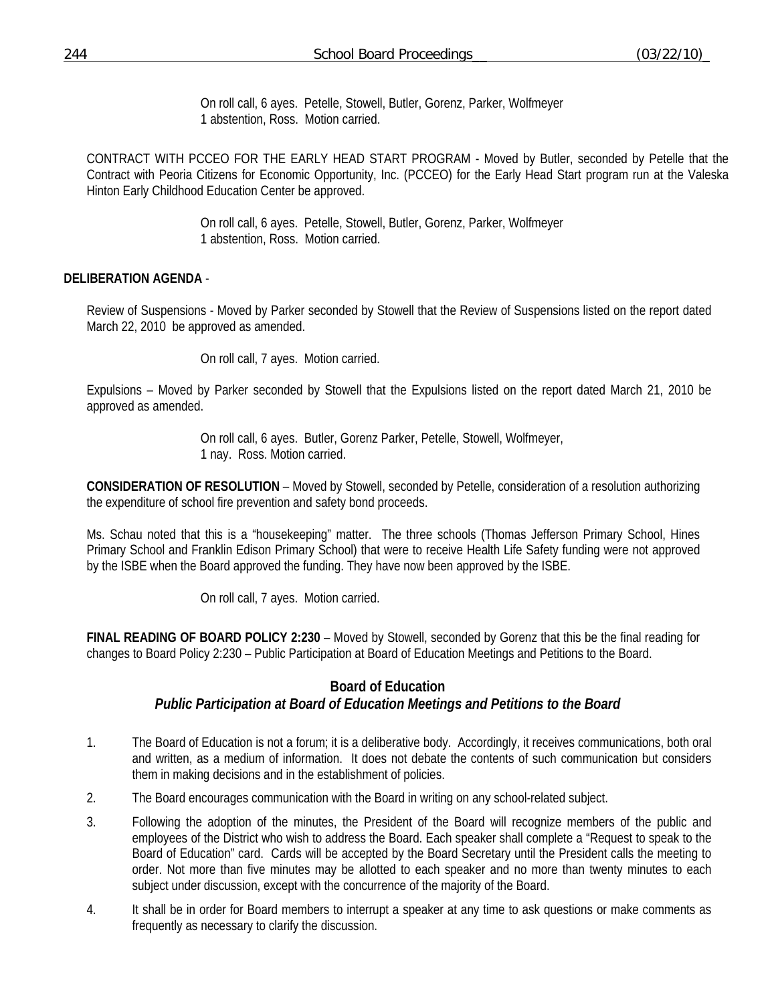On roll call, 6 ayes. Petelle, Stowell, Butler, Gorenz, Parker, Wolfmeyer 1 abstention, Ross. Motion carried.

CONTRACT WITH PCCEO FOR THE EARLY HEAD START PROGRAM - Moved by Butler, seconded by Petelle that the Contract with Peoria Citizens for Economic Opportunity, Inc. (PCCEO) for the Early Head Start program run at the Valeska Hinton Early Childhood Education Center be approved.

> On roll call, 6 ayes. Petelle, Stowell, Butler, Gorenz, Parker, Wolfmeyer 1 abstention, Ross. Motion carried.

## **DELIBERATION AGENDA** -

Review of Suspensions - Moved by Parker seconded by Stowell that the Review of Suspensions listed on the report dated March 22, 2010 be approved as amended.

On roll call, 7 ayes. Motion carried.

Expulsions – Moved by Parker seconded by Stowell that the Expulsions listed on the report dated March 21, 2010 be approved as amended.

> On roll call, 6 ayes. Butler, Gorenz Parker, Petelle, Stowell, Wolfmeyer, 1 nay. Ross. Motion carried.

**CONSIDERATION OF RESOLUTION** – Moved by Stowell, seconded by Petelle, consideration of a resolution authorizing the expenditure of school fire prevention and safety bond proceeds.

Ms. Schau noted that this is a "housekeeping" matter. The three schools (Thomas Jefferson Primary School, Hines Primary School and Franklin Edison Primary School) that were to receive Health Life Safety funding were not approved by the ISBE when the Board approved the funding. They have now been approved by the ISBE.

On roll call, 7 ayes. Motion carried.

**FINAL READING OF BOARD POLICY 2:230** – Moved by Stowell, seconded by Gorenz that this be the final reading for changes to Board Policy 2:230 – Public Participation at Board of Education Meetings and Petitions to the Board.

# **Board of Education**  *Public Participation at Board of Education Meetings and Petitions to the Board*

- 1. The Board of Education is not a forum; it is a deliberative body. Accordingly, it receives communications, both oral and written, as a medium of information. It does not debate the contents of such communication but considers them in making decisions and in the establishment of policies.
- 2. The Board encourages communication with the Board in writing on any school-related subject.
- 3. Following the adoption of the minutes, the President of the Board will recognize members of the public and employees of the District who wish to address the Board. Each speaker shall complete a "Request to speak to the Board of Education" card. Cards will be accepted by the Board Secretary until the President calls the meeting to order. Not more than five minutes may be allotted to each speaker and no more than twenty minutes to each subject under discussion, except with the concurrence of the majority of the Board.
- 4. It shall be in order for Board members to interrupt a speaker at any time to ask questions or make comments as frequently as necessary to clarify the discussion.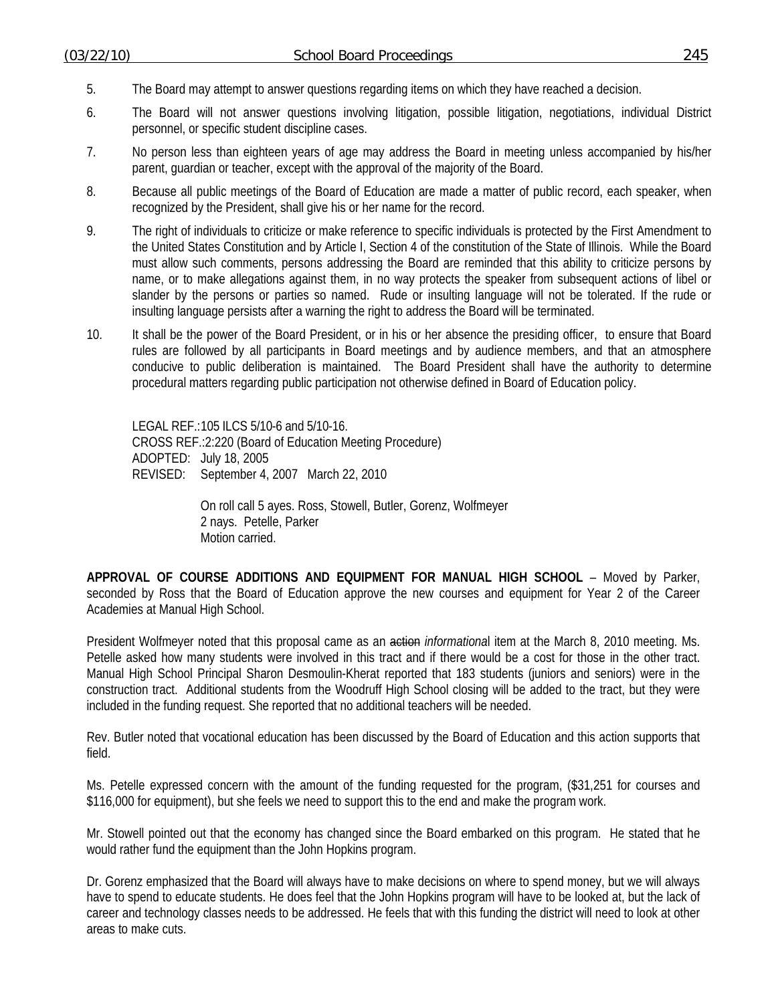- 5. The Board may attempt to answer questions regarding items on which they have reached a decision.
- 6. The Board will not answer questions involving litigation, possible litigation, negotiations, individual District personnel, or specific student discipline cases.
- 7. No person less than eighteen years of age may address the Board in meeting unless accompanied by his/her parent, guardian or teacher, except with the approval of the majority of the Board.
- 8. Because all public meetings of the Board of Education are made a matter of public record, each speaker, when recognized by the President, shall give his or her name for the record.
- 9. The right of individuals to criticize or make reference to specific individuals is protected by the First Amendment to the United States Constitution and by Article I, Section 4 of the constitution of the State of Illinois. While the Board must allow such comments, persons addressing the Board are reminded that this ability to criticize persons by name, or to make allegations against them, in no way protects the speaker from subsequent actions of libel or slander by the persons or parties so named. Rude or insulting language will not be tolerated. If the rude or insulting language persists after a warning the right to address the Board will be terminated.
- 10. It shall be the power of the Board President, or in his or her absence the presiding officer, to ensure that Board rules are followed by all participants in Board meetings and by audience members, and that an atmosphere conducive to public deliberation is maintained. The Board President shall have the authority to determine procedural matters regarding public participation not otherwise defined in Board of Education policy.

LEGAL REF.: 105 ILCS 5/10-6 and 5/10-16. CROSS REF.:2:220 (Board of Education Meeting Procedure) ADOPTED: July 18, 2005 REVISED: September 4, 2007 March 22, 2010

> On roll call 5 ayes. Ross, Stowell, Butler, Gorenz, Wolfmeyer 2 nays. Petelle, Parker Motion carried.

**APPROVAL OF COURSE ADDITIONS AND EQUIPMENT FOR MANUAL HIGH SCHOOL** – Moved by Parker, seconded by Ross that the Board of Education approve the new courses and equipment for Year 2 of the Career Academies at Manual High School.

President Wolfmeyer noted that this proposal came as an action *informationa*l item at the March 8, 2010 meeting. Ms. Petelle asked how many students were involved in this tract and if there would be a cost for those in the other tract. Manual High School Principal Sharon Desmoulin-Kherat reported that 183 students (juniors and seniors) were in the construction tract. Additional students from the Woodruff High School closing will be added to the tract, but they were included in the funding request. She reported that no additional teachers will be needed.

Rev. Butler noted that vocational education has been discussed by the Board of Education and this action supports that field.

Ms. Petelle expressed concern with the amount of the funding requested for the program, (\$31,251 for courses and \$116,000 for equipment), but she feels we need to support this to the end and make the program work.

Mr. Stowell pointed out that the economy has changed since the Board embarked on this program. He stated that he would rather fund the equipment than the John Hopkins program.

Dr. Gorenz emphasized that the Board will always have to make decisions on where to spend money, but we will always have to spend to educate students. He does feel that the John Hopkins program will have to be looked at, but the lack of career and technology classes needs to be addressed. He feels that with this funding the district will need to look at other areas to make cuts.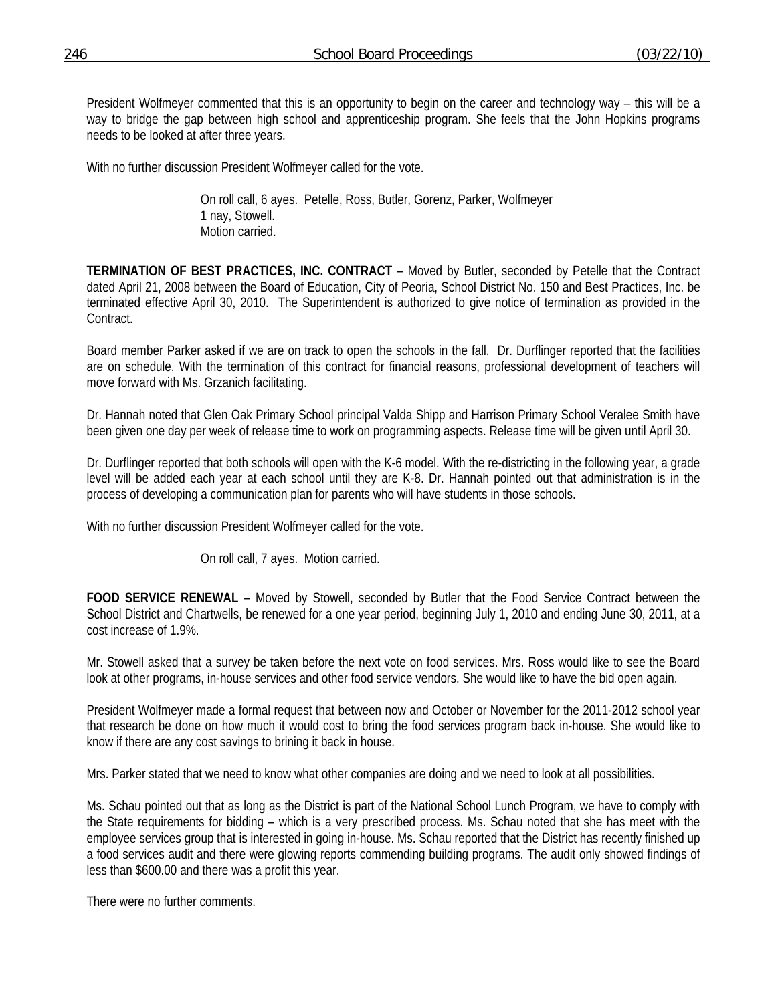President Wolfmeyer commented that this is an opportunity to begin on the career and technology way – this will be a way to bridge the gap between high school and apprenticeship program. She feels that the John Hopkins programs needs to be looked at after three years.

With no further discussion President Wolfmeyer called for the vote.

 On roll call, 6 ayes. Petelle, Ross, Butler, Gorenz, Parker, Wolfmeyer 1 nay, Stowell. Motion carried.

**TERMINATION OF BEST PRACTICES, INC. CONTRACT** – Moved by Butler, seconded by Petelle that the Contract dated April 21, 2008 between the Board of Education, City of Peoria, School District No. 150 and Best Practices, Inc. be terminated effective April 30, 2010. The Superintendent is authorized to give notice of termination as provided in the Contract.

Board member Parker asked if we are on track to open the schools in the fall. Dr. Durflinger reported that the facilities are on schedule. With the termination of this contract for financial reasons, professional development of teachers will move forward with Ms. Grzanich facilitating.

Dr. Hannah noted that Glen Oak Primary School principal Valda Shipp and Harrison Primary School Veralee Smith have been given one day per week of release time to work on programming aspects. Release time will be given until April 30.

Dr. Durflinger reported that both schools will open with the K-6 model. With the re-districting in the following year, a grade level will be added each year at each school until they are K-8. Dr. Hannah pointed out that administration is in the process of developing a communication plan for parents who will have students in those schools.

With no further discussion President Wolfmeyer called for the vote.

On roll call, 7 ayes. Motion carried.

**FOOD SERVICE RENEWAL** – Moved by Stowell, seconded by Butler that the Food Service Contract between the School District and Chartwells, be renewed for a one year period, beginning July 1, 2010 and ending June 30, 2011, at a cost increase of 1.9%.

Mr. Stowell asked that a survey be taken before the next vote on food services. Mrs. Ross would like to see the Board look at other programs, in-house services and other food service vendors. She would like to have the bid open again.

President Wolfmeyer made a formal request that between now and October or November for the 2011-2012 school year that research be done on how much it would cost to bring the food services program back in-house. She would like to know if there are any cost savings to brining it back in house.

Mrs. Parker stated that we need to know what other companies are doing and we need to look at all possibilities.

Ms. Schau pointed out that as long as the District is part of the National School Lunch Program, we have to comply with the State requirements for bidding – which is a very prescribed process. Ms. Schau noted that she has meet with the employee services group that is interested in going in-house. Ms. Schau reported that the District has recently finished up a food services audit and there were glowing reports commending building programs. The audit only showed findings of less than \$600.00 and there was a profit this year.

There were no further comments.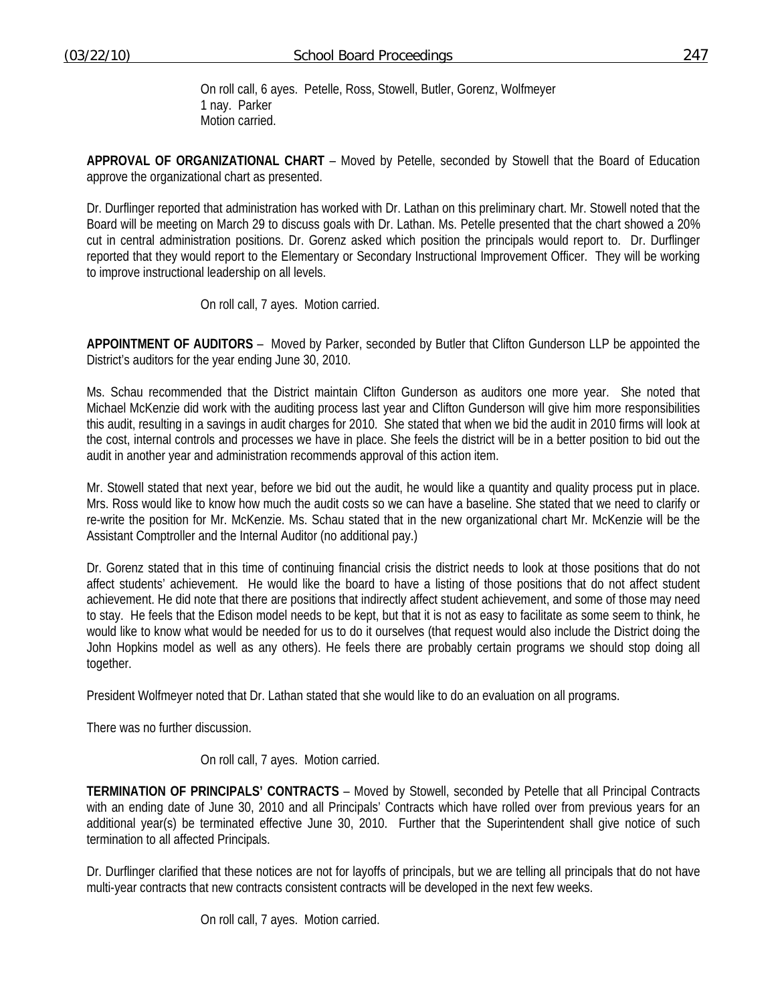On roll call, 6 ayes. Petelle, Ross, Stowell, Butler, Gorenz, Wolfmeyer 1 nay. Parker Motion carried.

**APPROVAL OF ORGANIZATIONAL CHART** – Moved by Petelle, seconded by Stowell that the Board of Education approve the organizational chart as presented.

Dr. Durflinger reported that administration has worked with Dr. Lathan on this preliminary chart. Mr. Stowell noted that the Board will be meeting on March 29 to discuss goals with Dr. Lathan. Ms. Petelle presented that the chart showed a 20% cut in central administration positions. Dr. Gorenz asked which position the principals would report to. Dr. Durflinger reported that they would report to the Elementary or Secondary Instructional Improvement Officer. They will be working to improve instructional leadership on all levels.

On roll call, 7 ayes. Motion carried.

**APPOINTMENT OF AUDITORS** – Moved by Parker, seconded by Butler that Clifton Gunderson LLP be appointed the District's auditors for the year ending June 30, 2010.

Ms. Schau recommended that the District maintain Clifton Gunderson as auditors one more year. She noted that Michael McKenzie did work with the auditing process last year and Clifton Gunderson will give him more responsibilities this audit, resulting in a savings in audit charges for 2010. She stated that when we bid the audit in 2010 firms will look at the cost, internal controls and processes we have in place. She feels the district will be in a better position to bid out the audit in another year and administration recommends approval of this action item.

Mr. Stowell stated that next year, before we bid out the audit, he would like a quantity and quality process put in place. Mrs. Ross would like to know how much the audit costs so we can have a baseline. She stated that we need to clarify or re-write the position for Mr. McKenzie. Ms. Schau stated that in the new organizational chart Mr. McKenzie will be the Assistant Comptroller and the Internal Auditor (no additional pay.)

Dr. Gorenz stated that in this time of continuing financial crisis the district needs to look at those positions that do not affect students' achievement. He would like the board to have a listing of those positions that do not affect student achievement. He did note that there are positions that indirectly affect student achievement, and some of those may need to stay. He feels that the Edison model needs to be kept, but that it is not as easy to facilitate as some seem to think, he would like to know what would be needed for us to do it ourselves (that request would also include the District doing the John Hopkins model as well as any others). He feels there are probably certain programs we should stop doing all together.

President Wolfmeyer noted that Dr. Lathan stated that she would like to do an evaluation on all programs.

There was no further discussion.

On roll call, 7 ayes. Motion carried.

**TERMINATION OF PRINCIPALS' CONTRACTS** – Moved by Stowell, seconded by Petelle that all Principal Contracts with an ending date of June 30, 2010 and all Principals' Contracts which have rolled over from previous years for an additional year(s) be terminated effective June 30, 2010. Further that the Superintendent shall give notice of such termination to all affected Principals.

Dr. Durflinger clarified that these notices are not for layoffs of principals, but we are telling all principals that do not have multi-year contracts that new contracts consistent contracts will be developed in the next few weeks.

On roll call, 7 ayes. Motion carried.